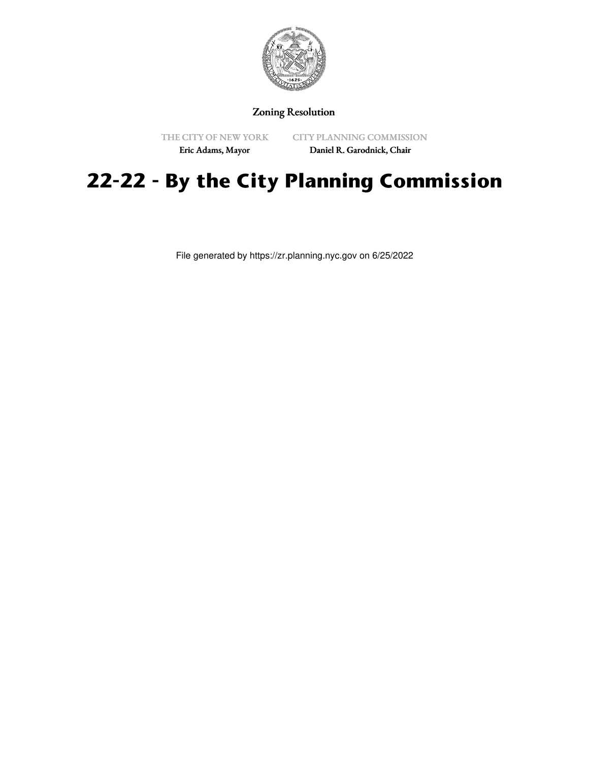

## Zoning Resolution

THE CITY OF NEW YORK

CITY PLANNING COMMISSION

Eric Adams, Mayor

Daniel R. Garodnick, Chair

# **22-22 - By the City Planning Commission**

File generated by https://zr.planning.nyc.gov on 6/25/2022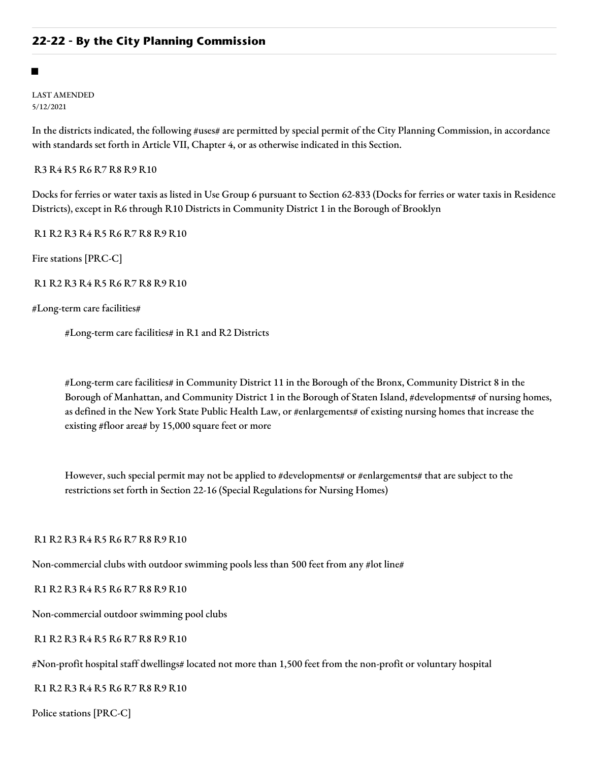#### ■

LAST AMENDED 5/12/2021

In the districts indicated, the following #uses# are permitted by special permit of the City Planning Commission, in accordance with standards set forth in Article VII, Chapter 4, or as otherwise indicated in this Section.

R3 R4 R5 R6 R7 R8 R9 R10

Docks for ferries or water taxis as listed in Use Group 6 pursuant to Section 62-833 (Docks for ferries or water taxis in Residence Districts), except in R6 through R10 Districts in Community District 1 in the Borough of Brooklyn

R1 R2 R3 R4 R5 R6 R7 R8 R9 R10

Fire stations [PRC-C]

R1 R2 R3 R4 R5 R6 R7 R8 R9 R10

#Long-term care facilities#

#Long-term care facilities# in R1 and R2 Districts

#Long-term care facilities# in Community District 11 in the Borough of the Bronx, Community District 8 in the Borough of Manhattan, and Community District 1 in the Borough of Staten Island, #developments# of nursing homes, as defined in the New York State Public Health Law, or #enlargements# of existing nursing homes that increase the existing #floor area# by 15,000 square feet or more

However, such special permit may not be applied to #developments# or #enlargements# that are subject to the restrictions set forth in Section 22-16 (Special Regulations for Nursing Homes)

R1 R2 R3 R4 R5 R6 R7 R8 R9 R10

Non-commercial clubs with outdoor swimming pools less than 500 feet from any #lot line#

R1 R2 R3 R4 R5 R6 R7 R8 R9 R10

Non-commercial outdoor swimming pool clubs

R1 R2 R3 R4 R5 R6 R7 R8 R9 R10

#Non-profit hospital staff dwellings# located not more than 1,500 feet from the non-profit or voluntary hospital

R1 R2 R3 R4 R5 R6 R7 R8 R9 R10

Police stations [PRC-C]